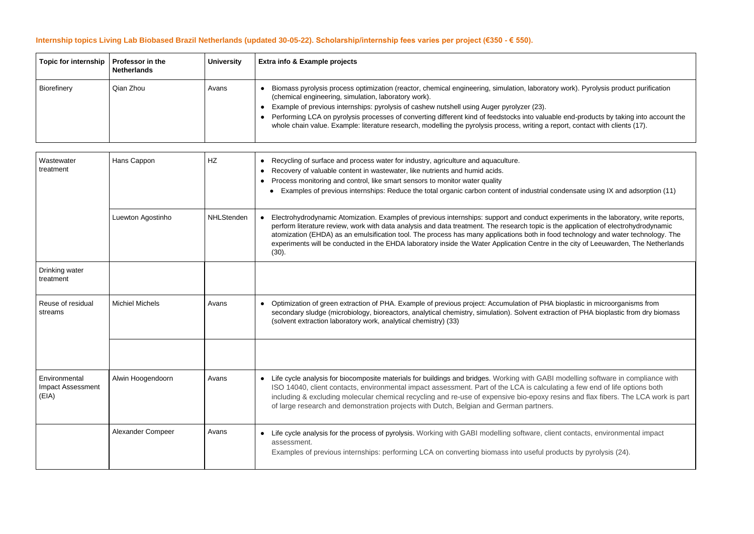## **Internship topics Living Lab Biobased Brazil Netherlands (updated 30-05-22). Scholarship/internship fees varies per project (€350 - € 550).**

| <b>Topic for internship</b> | Professor in the<br><b>Netherlands</b> | <b>University</b> | <b>Extra info &amp; Example projects</b>                                                                                                                                                                                                                                                                                                                                                                                                                                                                                                                        |
|-----------------------------|----------------------------------------|-------------------|-----------------------------------------------------------------------------------------------------------------------------------------------------------------------------------------------------------------------------------------------------------------------------------------------------------------------------------------------------------------------------------------------------------------------------------------------------------------------------------------------------------------------------------------------------------------|
| <b>Biorefinery</b>          | Qian Zhou                              | Avans             | Biomass pyrolysis process optimization (reactor, chemical engineering, simulation, laboratory work). Pyrolysis product purification<br>(chemical engineering, simulation, laboratory work).<br>Example of previous internships: pyrolysis of cashew nutshell using Auger pyrolyzer (23).<br>Performing LCA on pyrolysis processes of converting different kind of feedstocks into valuable end-products by taking into accoun<br>whole chain value. Example: literature research, modelling the pyrolysis process, writing a report, contact with clients (17). |

| Wastewater<br>treatment                            | Hans Cappon            | HZ         | Recycling of surface and process water for industry, agriculture and aquaculture.<br>$\bullet$<br>Recovery of valuable content in wastewater, like nutrients and humid acids.<br>$\bullet$<br>Process monitoring and control, like smart sensors to monitor water quality<br>• Examples of previous internships: Reduce the total organic carbon content of industrial conder                                         |
|----------------------------------------------------|------------------------|------------|-----------------------------------------------------------------------------------------------------------------------------------------------------------------------------------------------------------------------------------------------------------------------------------------------------------------------------------------------------------------------------------------------------------------------|
|                                                    | Luewton Agostinho      | NHLStenden | Electrohydrodynamic Atomization. Examples of previous internships: support and conduct experii<br>perform literature review, work with data analysis and data treatment. The research topic is the ap<br>atomization (EHDA) as an emulsification tool. The process has many applications both in food teo<br>experiments will be conducted in the EHDA laboratory inside the Water Application Centre in the<br>(30). |
| Drinking water<br>treatment                        |                        |            |                                                                                                                                                                                                                                                                                                                                                                                                                       |
| Reuse of residual<br>streams                       | <b>Michiel Michels</b> | Avans      | Optimization of green extraction of PHA. Example of previous project: Accumulation of PHA biopl<br>secondary sludge (microbiology, bioreactors, analytical chemistry, simulation). Solvent extraction<br>(solvent extraction laboratory work, analytical chemistry) (33)                                                                                                                                              |
|                                                    |                        |            |                                                                                                                                                                                                                                                                                                                                                                                                                       |
| Environmental<br><b>Impact Assessment</b><br>(EIA) | Alwin Hoogendoorn      | Avans      | Life cycle analysis for biocomposite materials for buildings and bridges. Working with GABI mod<br>ISO 14040, client contacts, environmental impact assessment. Part of the LCA is calculating<br>including & excluding molecular chemical recycling and re-use of expensive bio-epoxy resins<br>of large research and demonstration projects with Dutch, Belgian and German partners.                                |
|                                                    | Alexander Compeer      | Avans      | Life cycle analysis for the process of pyrolysis. Working with GABI modelling software, client co<br>assessment.<br>Examples of previous internships: performing LCA on converting biomass into useful product                                                                                                                                                                                                        |

nd-products by taking into account the , contact with clients (17).

ensate using IX and adsorption (11)

iments in the laboratory, write reports, pplication of electrohydrodynamic ...<br>chnology and water technology. The city of Leeuwarden, The Netherlands

lastic in microorganisms from of PHA bioplastic from dry biomass

delling software in compliance with a few end of life options both and flax fibers. The LCA work is part

ontacts, environmental impact

ts by pyrolysis (24).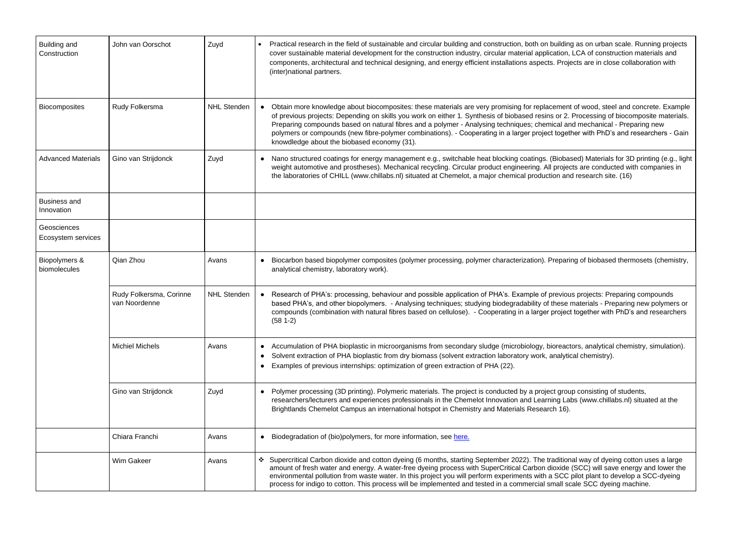| <b>Building and</b><br>Construction | John van Oorschot                        | Zuyd               |                                     | Practical research in the field of sustainable and circular building and construction, both on building as on urban scale. Running projects<br>cover sustainable material development for the construction industry, circular material application, LCA of construction materials and<br>components, architectural and technical designing, and energy efficient installations aspects. Projects are in close collaboration with<br>(inter)national partners.                                                                                                                                       |
|-------------------------------------|------------------------------------------|--------------------|-------------------------------------|-----------------------------------------------------------------------------------------------------------------------------------------------------------------------------------------------------------------------------------------------------------------------------------------------------------------------------------------------------------------------------------------------------------------------------------------------------------------------------------------------------------------------------------------------------------------------------------------------------|
| <b>Biocomposites</b>                | Rudy Folkersma                           | <b>NHL Stenden</b> |                                     | • Obtain more knowledge about biocomposites: these materials are very promising for replacement of wood, steel and concrete. Example<br>of previous projects: Depending on skills you work on either 1. Synthesis of biobased resins or 2. Processing of biocomposite materials<br>Preparing compounds based on natural fibres and a polymer - Analysing techniques; chemical and mechanical - Preparing new<br>polymers or compounds (new fibre-polymer combinations). - Cooperating in a larger project together with PhD's and researchers - Gair<br>knowdledge about the biobased economy (31). |
| <b>Advanced Materials</b>           | Gino van Strijdonck                      | Zuyd               |                                     | Nano structured coatings for energy management e.g., switchable heat blocking coatings. (Biobased) Materials for 3D printing (e.g., ligit<br>weight automotive and prostheses). Mechanical recycling. Circular product engineering. All projects are conducted with companies in<br>the laboratories of CHILL (www.chillabs.nl) situated at Chemelot, a major chemical production and research site. (16)                                                                                                                                                                                           |
| <b>Business and</b><br>Innovation   |                                          |                    |                                     |                                                                                                                                                                                                                                                                                                                                                                                                                                                                                                                                                                                                     |
| Geosciences<br>Ecosystem services   |                                          |                    |                                     |                                                                                                                                                                                                                                                                                                                                                                                                                                                                                                                                                                                                     |
| Biopolymers &<br>biomolecules       | Qian Zhou                                | Avans              |                                     | Biocarbon based biopolymer composites (polymer processing, polymer characterization). Preparing of biobased thermosets (chemistry<br>analytical chemistry, laboratory work).                                                                                                                                                                                                                                                                                                                                                                                                                        |
|                                     | Rudy Folkersma, Corinne<br>van Noordenne | <b>NHL Stenden</b> |                                     | Research of PHA's: processing, behaviour and possible application of PHA's. Example of previous projects: Preparing compounds<br>based PHA's, and other biopolymers. - Analysing techniques; studying biodegradability of these materials - Preparing new polymers or<br>compounds (combination with natural fibres based on cellulose). - Cooperating in a larger project together with PhD's and researchers<br>$(58 1-2)$                                                                                                                                                                        |
|                                     | <b>Michiel Michels</b>                   | Avans              | $\bullet$<br>$\bullet$<br>$\bullet$ | Accumulation of PHA bioplastic in microorganisms from secondary sludge (microbiology, bioreactors, analytical chemistry, simulation).<br>Solvent extraction of PHA bioplastic from dry biomass (solvent extraction laboratory work, analytical chemistry).<br>Examples of previous internships: optimization of green extraction of PHA (22).                                                                                                                                                                                                                                                       |
|                                     | Gino van Strijdonck                      | Zuyd               | $\bullet$                           | Polymer processing (3D printing). Polymeric materials. The project is conducted by a project group consisting of students,<br>researchers/lecturers and experiences professionals in the Chemelot Innovation and Learning Labs (www.chillabs.nl) situated at the<br>Brightlands Chemelot Campus an international hotspot in Chemistry and Materials Research 16).                                                                                                                                                                                                                                   |
|                                     | Chiara Franchi                           | Avans              | $\bullet$                           | Biodegradation of (bio)polymers, for more information, see here.                                                                                                                                                                                                                                                                                                                                                                                                                                                                                                                                    |
|                                     | Wim Gakeer                               | Avans              |                                     | ❖ Supercritical Carbon dioxide and cotton dyeing (6 months, starting September 2022). The traditional way of dyeing cotton uses a large<br>amount of fresh water and energy. A water-free dyeing process with SuperCritical Carbon dioxide (SCC) will save energy and lower the<br>environmental pollution from waste water. In this project you will perform experiments with a SCC pilot plant to develop a SCC-dyeing<br>process for indigo to cotton. This process will be implemented and tested in a commercial small scale SCC dyeing machine.                                               |

ased) Materials for 3D printing (e.g., light ects are conducted with companies in nd research site. (16)